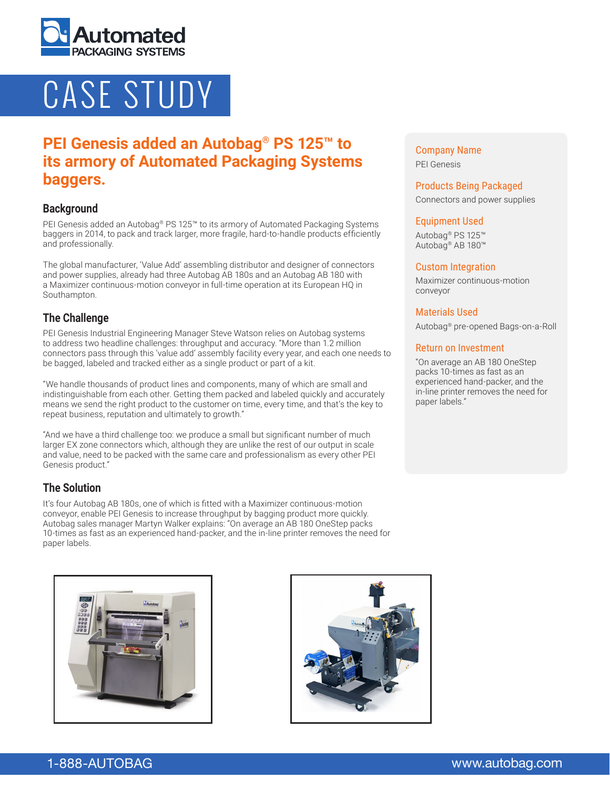

# CASE STUDY

# **PEI Genesis added an Autobag® PS 125™ to its armory of Automated Packaging Systems baggers.**

### **Background**

PEI Genesis added an Autobag® PS 125<sup>™</sup> to its armory of Automated Packaging Systems baggers in 2014, to pack and track larger, more fragile, hard-to-handle products efficiently and professionally.

The global manufacturer, 'Value Add' assembling distributor and designer of connectors and power supplies, already had three Autobag AB 180s and an Autobag AB 180 with a Maximizer continuous-motion conveyor in full-time operation at its European HQ in Southampton.

# **The Challenge**

PEI Genesis Industrial Engineering Manager Steve Watson relies on Autobag systems to address two headline challenges: throughput and accuracy. "More than 1.2 million connectors pass through this 'value add' assembly facility every year, and each one needs to be bagged, labeled and tracked either as a single product or part of a kit.

"We handle thousands of product lines and components, many of which are small and indistinguishable from each other. Getting them packed and labeled quickly and accurately means we send the right product to the customer on time, every time, and that's the key to repeat business, reputation and ultimately to growth."

"And we have a third challenge too: we produce a small but significant number of much larger EX zone connectors which, although they are unlike the rest of our output in scale and value, need to be packed with the same care and professionalism as every other PEI Genesis product."

# **The Solution**

It's four Autobag AB 180s, one of which is fitted with a Maximizer continuous-motion conveyor, enable PEI Genesis to increase throughput by bagging product more quickly. Autobag sales manager Martyn Walker explains: "On average an AB 180 OneStep packs 10-times as fast as an experienced hand-packer, and the in-line printer removes the need for paper labels.





Company Name PEI Genesis

#### Products Being Packaged

Connectors and power supplies

#### Equipment Used

Autobag® PS 125™ Autobag® AB 180™

#### Custom Integration

Maximizer continuous-motion conveyor

#### Materials Used

Autobag® pre-opened Bags-on-a-Roll

#### Return on Investment

"On average an AB 180 OneStep packs 10-times as fast as an experienced hand-packer, and the in-line printer removes the need for paper labels."